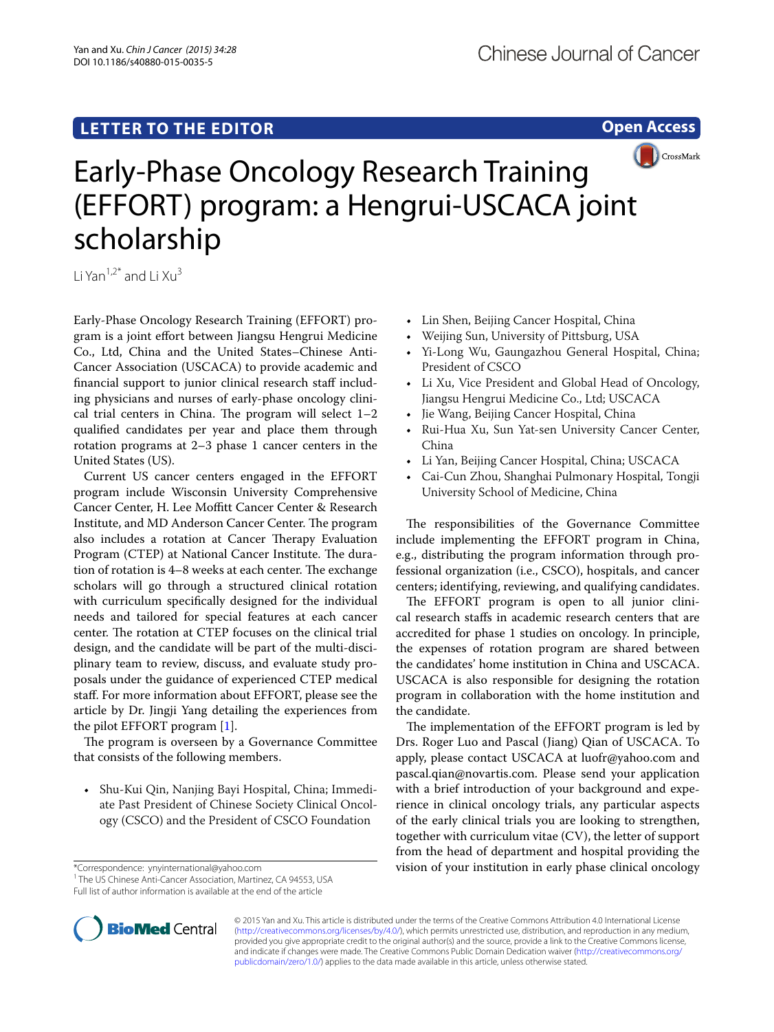## **LETTER TO THE EDITOR**

**Open Access**



# Early-Phase Oncology Research Training (EFFORT) program: a Hengrui-USCACA joint scholarship

Li Yan<sup>1,2\*</sup> and Li  $Xu<sup>3</sup>$ 

Early-Phase Oncology Research Training (EFFORT) program is a joint effort between Jiangsu Hengrui Medicine Co., Ltd, China and the United States–Chinese Anti-Cancer Association (USCACA) to provide academic and financial support to junior clinical research staff including physicians and nurses of early-phase oncology clinical trial centers in China. The program will select  $1-2$ qualified candidates per year and place them through rotation programs at 2–3 phase 1 cancer centers in the United States (US).

Current US cancer centers engaged in the EFFORT program include Wisconsin University Comprehensive Cancer Center, H. Lee Moffitt Cancer Center & Research Institute, and MD Anderson Cancer Center. The program also includes a rotation at Cancer Therapy Evaluation Program (CTEP) at National Cancer Institute. The duration of rotation is 4–8 weeks at each center. The exchange scholars will go through a structured clinical rotation with curriculum specifically designed for the individual needs and tailored for special features at each cancer center. The rotation at CTEP focuses on the clinical trial design, and the candidate will be part of the multi-disciplinary team to review, discuss, and evaluate study proposals under the guidance of experienced CTEP medical staff. For more information about EFFORT, please see the article by Dr. Jingji Yang detailing the experiences from the pilot EFFORT program [\[1](#page-1-0)].

The program is overseen by a Governance Committee that consists of the following members.

•• Shu-Kui Qin, Nanjing Bayi Hospital, China; Immediate Past President of Chinese Society Clinical Oncology (CSCO) and the President of CSCO Foundation

\*Correspondence: ynyinternational@yahoo.com

<sup>1</sup> The US Chinese Anti-Cancer Association, Martinez, CA 94553, USA Full list of author information is available at the end of the article

- •• Lin Shen, Beijing Cancer Hospital, China
- •• Weijing Sun, University of Pittsburg, USA
- •• Yi-Long Wu, Gaungazhou General Hospital, China; President of CSCO
- •• Li Xu, Vice President and Global Head of Oncology, Jiangsu Hengrui Medicine Co., Ltd; USCACA
- •• Jie Wang, Beijing Cancer Hospital, China
- •• Rui-Hua Xu, Sun Yat-sen University Cancer Center, China
- •• Li Yan, Beijing Cancer Hospital, China; USCACA
- •• Cai-Cun Zhou, Shanghai Pulmonary Hospital, Tongji University School of Medicine, China

The responsibilities of the Governance Committee include implementing the EFFORT program in China, e.g., distributing the program information through professional organization (i.e., CSCO), hospitals, and cancer centers; identifying, reviewing, and qualifying candidates.

The EFFORT program is open to all junior clinical research staffs in academic research centers that are accredited for phase 1 studies on oncology. In principle, the expenses of rotation program are shared between the candidates' home institution in China and USCACA. USCACA is also responsible for designing the rotation program in collaboration with the home institution and the candidate.

The implementation of the EFFORT program is led by Drs. Roger Luo and Pascal (Jiang) Qian of USCACA. To apply, please contact USCACA at luofr@yahoo.com and pascal.qian@novartis.com. Please send your application with a brief introduction of your background and experience in clinical oncology trials, any particular aspects of the early clinical trials you are looking to strengthen, together with curriculum vitae (CV), the letter of support from the head of department and hospital providing the vision of your institution in early phase clinical oncology



© 2015 Yan and Xu. This article is distributed under the terms of the Creative Commons Attribution 4.0 International License [\(http://creativecommons.org/licenses/by/4.0/\)](http://creativecommons.org/licenses/by/4.0/), which permits unrestricted use, distribution, and reproduction in any medium, provided you give appropriate credit to the original author(s) and the source, provide a link to the Creative Commons license, and indicate if changes were made. The Creative Commons Public Domain Dedication waiver ([http://creativecommons.org/](http://creativecommons.org/publicdomain/zero/1.0/) [publicdomain/zero/1.0/](http://creativecommons.org/publicdomain/zero/1.0/)) applies to the data made available in this article, unless otherwise stated.